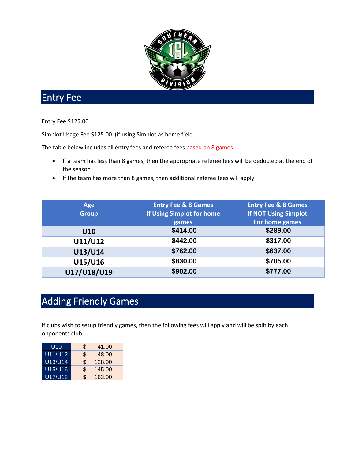

## Entry Fee

## Entry Fee \$125.00

Simplot Usage Fee \$125.00 (if using Simplot as home field.

The table below includes all entry fees and referee fees based on 8 games.

- If a team has less than 8 games, then the appropriate referee fees will be deducted at the end of the season
- If the team has more than 8 games, then additional referee fees will apply

| Age          | <b>Entry Fee &amp; 8 Games</b> | <b>Entry Fee &amp; 8 Games</b> |
|--------------|--------------------------------|--------------------------------|
| <b>Group</b> | If Using Simplot for home      | <b>If NOT Using Simplot</b>    |
|              | games                          | For home games                 |
| U10          | \$414.00                       | \$289.00                       |
| U11/U12      | \$442.00                       | \$317.00                       |
| U13/U14      | \$762.00                       | \$637.00                       |
| U15/U16      | \$830.00                       | \$705.00                       |
| U17/U18/U19  | \$902.00                       | \$777.00                       |

## Adding Friendly Games

If clubs wish to setup friendly games, then the following fees will apply and will be split by each opponents club.

| U10     | \$<br>41.00  |
|---------|--------------|
| U11/U12 | \$<br>48.00  |
| U13/U14 | \$<br>128.00 |
| U15/U16 | \$<br>145.00 |
| U17/U18 | \$<br>163.00 |